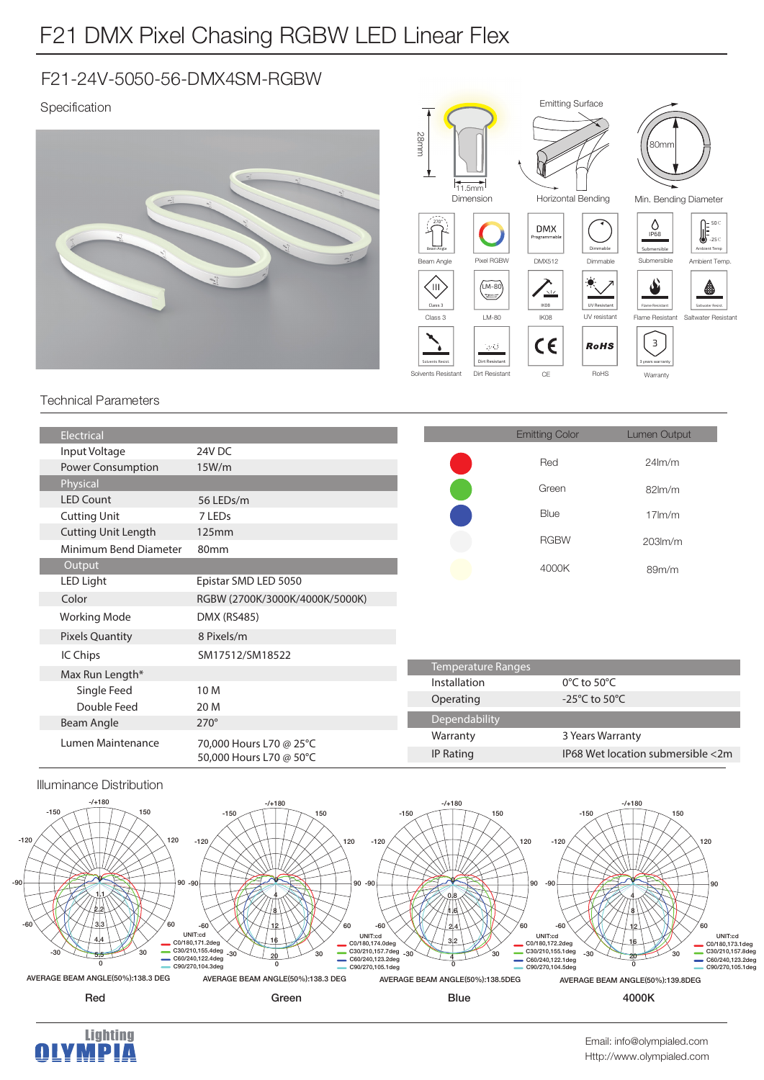# F21 DMX Pixel Chasing RGBW LED Linear Flex

### F21-24V-5050-56-DMX4SM-RGBW

#### Specification







Submersible  $\bigcirc$ <sub>IP68</sub>

80<sub>mr</sub>



Ambient Temp -25℃ 50℃

Saltwater Resist.

≜

#### Technical Parameters

| Electrical                 |                                                    |                           | <b>Emitting Color</b>             | Lumen Output                      |
|----------------------------|----------------------------------------------------|---------------------------|-----------------------------------|-----------------------------------|
| Input Voltage              | 24V DC                                             |                           |                                   |                                   |
| <b>Power Consumption</b>   | 15W/m                                              |                           | Red                               | 24 <sub>lm/m</sub>                |
| Physical                   |                                                    |                           | Green                             | $82lm$ /m                         |
| <b>LED Count</b>           | 56 LEDs/m                                          |                           |                                   |                                   |
| <b>Cutting Unit</b>        | 7 LED <sub>s</sub>                                 |                           | Blue                              | $17$ m/m                          |
| <b>Cutting Unit Length</b> | 125mm                                              |                           | <b>RGBW</b>                       | $203lm$ /m                        |
| Minimum Bend Diameter      | 80mm                                               |                           |                                   |                                   |
| Output                     |                                                    |                           | 4000K                             | 89m/m                             |
| LED Light                  | Epistar SMD LED 5050                               |                           |                                   |                                   |
| Color                      | RGBW (2700K/3000K/4000K/5000K)                     |                           |                                   |                                   |
| <b>Working Mode</b>        | <b>DMX (RS485)</b>                                 |                           |                                   |                                   |
| <b>Pixels Quantity</b>     | 8 Pixels/m                                         |                           |                                   |                                   |
| IC Chips                   | SM17512/SM18522                                    |                           |                                   |                                   |
| Max Run Length*            |                                                    | <b>Temperature Ranges</b> |                                   |                                   |
| Single Feed                | 10 M                                               | Installation              | $0^{\circ}$ C to 50 $^{\circ}$ C  |                                   |
| Double Feed                | 20 M                                               | Operating                 | -25 $\degree$ C to 50 $\degree$ C |                                   |
| Beam Angle                 | $270^\circ$                                        | Dependability             |                                   |                                   |
| Lumen Maintenance          | 70,000 Hours L70 @ 25°C<br>50,000 Hours L70 @ 50°C | Warranty                  | 3 Years Warranty                  |                                   |
|                            |                                                    | <b>IP Rating</b>          |                                   | IP68 Wet location submersible <2m |
|                            |                                                    |                           |                                   |                                   |







 $-90$